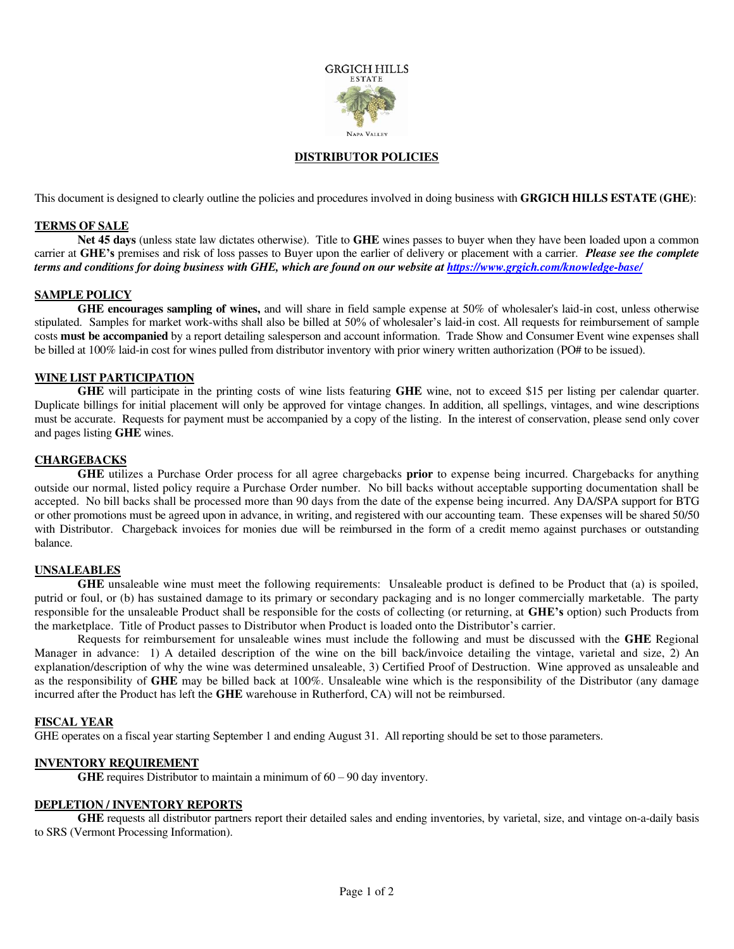

#### **DISTRIBUTOR POLICIES**

This document is designed to clearly outline the policies and procedures involved in doing business with **GRGICH HILLS ESTATE (GHE)**:

#### **TERMS OF SALE**

**Net 45 days** (unless state law dictates otherwise). Title to **GHE** wines passes to buyer when they have been loaded upon a common carrier at **GHE's** premises and risk of loss passes to Buyer upon the earlier of delivery or placement with a carrier. *Please see the complete terms and conditions for doing business with GHE, which are found on our website at<https://www.grgich.com/knowledge-base/>*

# **SAMPLE POLICY**

**GHE encourages sampling of wines,** and will share in field sample expense at 50% of wholesaler's laid-in cost, unless otherwise stipulated. Samples for market work-withs shall also be billed at 50% of wholesaler's laid-in cost. All requests for reimbursement of sample costs **must be accompanied** by a report detailing salesperson and account information. Trade Show and Consumer Event wine expenses shall be billed at 100% laid-in cost for wines pulled from distributor inventory with prior winery written authorization (PO# to be issued).

## **WINE LIST PARTICIPATION**

**GHE** will participate in the printing costs of wine lists featuring **GHE** wine, not to exceed \$15 per listing per calendar quarter. Duplicate billings for initial placement will only be approved for vintage changes. In addition, all spellings, vintages, and wine descriptions must be accurate. Requests for payment must be accompanied by a copy of the listing. In the interest of conservation, please send only cover and pages listing **GHE** wines.

## **CHARGEBACKS**

**GHE** utilizes a Purchase Order process for all agree chargebacks **prior** to expense being incurred. Chargebacks for anything outside our normal, listed policy require a Purchase Order number. No bill backs without acceptable supporting documentation shall be accepted. No bill backs shall be processed more than 90 days from the date of the expense being incurred. Any DA/SPA support for BTG or other promotions must be agreed upon in advance, in writing, and registered with our accounting team. These expenses will be shared 50/50 with Distributor. Chargeback invoices for monies due will be reimbursed in the form of a credit memo against purchases or outstanding balance.

#### **UNSALEABLES**

**GHE** unsaleable wine must meet the following requirements: Unsaleable product is defined to be Product that (a) is spoiled, putrid or foul, or (b) has sustained damage to its primary or secondary packaging and is no longer commercially marketable. The party responsible for the unsaleable Product shall be responsible for the costs of collecting (or returning, at **GHE's** option) such Products from the marketplace. Title of Product passes to Distributor when Product is loaded onto the Distributor's carrier.

Requests for reimbursement for unsaleable wines must include the following and must be discussed with the **GHE** Regional Manager in advance: 1) A detailed description of the wine on the bill back/invoice detailing the vintage, varietal and size, 2) An explanation/description of why the wine was determined unsaleable, 3) Certified Proof of Destruction. Wine approved as unsaleable and as the responsibility of **GHE** may be billed back at 100%. Unsaleable wine which is the responsibility of the Distributor (any damage incurred after the Product has left the **GHE** warehouse in Rutherford, CA) will not be reimbursed.

## **FISCAL YEAR**

GHE operates on a fiscal year starting September 1 and ending August 31. All reporting should be set to those parameters.

## **INVENTORY REQUIREMENT**

**GHE** requires Distributor to maintain a minimum of  $60 - 90$  day inventory.

#### **DEPLETION / INVENTORY REPORTS**

**GHE** requests all distributor partners report their detailed sales and ending inventories, by varietal, size, and vintage on-a-daily basis to SRS (Vermont Processing Information).